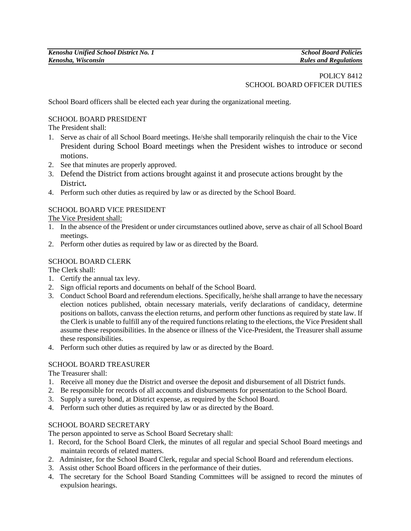# POLICY 8412 SCHOOL BOARD OFFICER DUTIES

School Board officers shall be elected each year during the organizational meeting.

#### SCHOOL BOARD PRESIDENT

The President shall:

- 1. Serve as chair of all School Board meetings. He/she shall temporarily relinquish the chair to the Vice President during School Board meetings when the President wishes to introduce or second motions.
- 2. See that minutes are properly approved.
- 3. Defend the District from actions brought against it and prosecute actions brought by the District**.**
- 4. Perform such other duties as required by law or as directed by the School Board.

## SCHOOL BOARD VICE PRESIDENT

The Vice President shall:

- 1. In the absence of the President or under circumstances outlined above, serve as chair of all School Board meetings.
- 2. Perform other duties as required by law or as directed by the Board.

## SCHOOL BOARD CLERK

The Clerk shall:

- 1. Certify the annual tax levy.
- 2. Sign official reports and documents on behalf of the School Board.
- 3. Conduct School Board and referendum elections. Specifically, he/she shall arrange to have the necessary election notices published, obtain necessary materials, verify declarations of candidacy, determine positions on ballots, canvass the election returns, and perform other functions as required by state law. If the Clerk is unable to fulfill any of the required functions relating to the elections, the Vice President shall assume these responsibilities. In the absence or illness of the Vice-President, the Treasurer shall assume these responsibilities.
- 4. Perform such other duties as required by law or as directed by the Board.

## SCHOOL BOARD TREASURER

The Treasurer shall:

- 1. Receive all money due the District and oversee the deposit and disbursement of all District funds.
- 2. Be responsible for records of all accounts and disbursements for presentation to the School Board.
- 3. Supply a surety bond, at District expense, as required by the School Board.
- 4. Perform such other duties as required by law or as directed by the Board.

#### SCHOOL BOARD SECRETARY

The person appointed to serve as School Board Secretary shall:

- 1. Record, for the School Board Clerk, the minutes of all regular and special School Board meetings and maintain records of related matters.
- 2. Administer, for the School Board Clerk, regular and special School Board and referendum elections.
- 3. Assist other School Board officers in the performance of their duties.
- 4. The secretary for the School Board Standing Committees will be assigned to record the minutes of expulsion hearings.